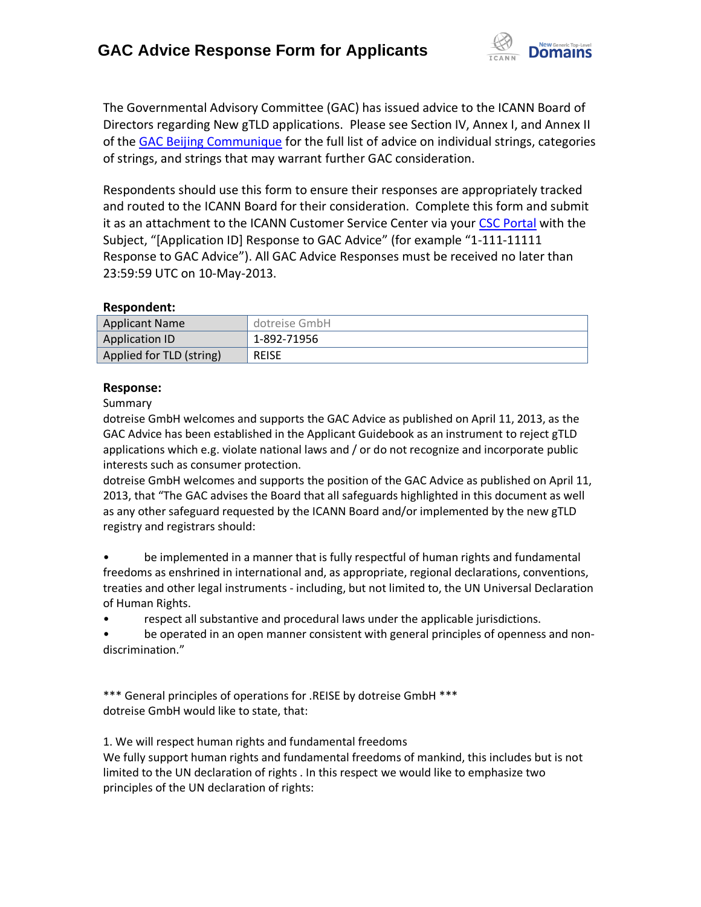

The Governmental Advisory Committee (GAC) has issued advice to the ICANN Board of Directors regarding New gTLD applications. Please see Section IV, Annex I, and Annex II of the [GAC Beijing Communique](http://www.icann.org/en/news/correspondence/gac-to-board-18apr13-en.pdf) for the full list of advice on individual strings, categories of strings, and strings that may warrant further GAC consideration.

Respondents should use this form to ensure their responses are appropriately tracked and routed to the ICANN Board for their consideration. Complete this form and submit it as an attachment to the ICANN Customer Service Center via your CSC [Portal](https://myicann.secure.force.com/) with the Subject, "[Application ID] Response to GAC Advice" (for example "1-111-11111 Response to GAC Advice"). All GAC Advice Responses must be received no later than 23:59:59 UTC on 10-May-2013.

#### **Respondent:**

| <b>Applicant Name</b>    | dotreise GmbH |
|--------------------------|---------------|
| <b>Application ID</b>    | 1-892-71956   |
| Applied for TLD (string) | <b>REISE</b>  |

### **Response:**

Summary

dotreise GmbH welcomes and supports the GAC Advice as published on April 11, 2013, as the GAC Advice has been established in the Applicant Guidebook as an instrument to reject gTLD applications which e.g. violate national laws and / or do not recognize and incorporate public interests such as consumer protection.

dotreise GmbH welcomes and supports the position of the GAC Advice as published on April 11, 2013, that "The GAC advises the Board that all safeguards highlighted in this document as well as any other safeguard requested by the ICANN Board and/or implemented by the new gTLD registry and registrars should:

• be implemented in a manner that is fully respectful of human rights and fundamental freedoms as enshrined in international and, as appropriate, regional declarations, conventions, treaties and other legal instruments - including, but not limited to, the UN Universal Declaration of Human Rights.

• respect all substantive and procedural laws under the applicable jurisdictions.

be operated in an open manner consistent with general principles of openness and nondiscrimination."

\*\*\* General principles of operations for .REISE by dotreise GmbH \*\*\* dotreise GmbH would like to state, that:

1. We will respect human rights and fundamental freedoms

We fully support human rights and fundamental freedoms of mankind, this includes but is not limited to the UN declaration of rights . In this respect we would like to emphasize two principles of the UN declaration of rights: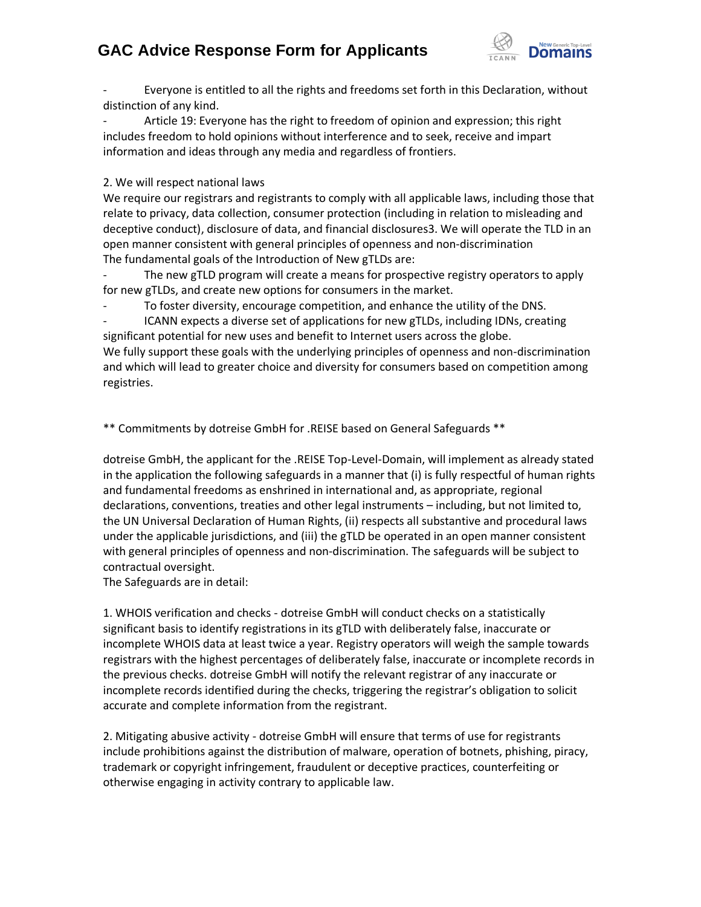## **GAC Advice Response Form for Applicants**



Everyone is entitled to all the rights and freedoms set forth in this Declaration, without distinction of any kind.

Article 19: Everyone has the right to freedom of opinion and expression; this right includes freedom to hold opinions without interference and to seek, receive and impart information and ideas through any media and regardless of frontiers.

2. We will respect national laws

We require our registrars and registrants to comply with all applicable laws, including those that relate to privacy, data collection, consumer protection (including in relation to misleading and deceptive conduct), disclosure of data, and financial disclosures3. We will operate the TLD in an open manner consistent with general principles of openness and non‐discrimination The fundamental goals of the Introduction of New gTLDs are:

The new gTLD program will create a means for prospective registry operators to apply for new gTLDs, and create new options for consumers in the market.

To foster diversity, encourage competition, and enhance the utility of the DNS.

- ICANN expects a diverse set of applications for new gTLDs, including IDNs, creating significant potential for new uses and benefit to Internet users across the globe. We fully support these goals with the underlying principles of openness and non-discrimination and which will lead to greater choice and diversity for consumers based on competition among registries.

\*\* Commitments by dotreise GmbH for .REISE based on General Safeguards \*\*

dotreise GmbH, the applicant for the .REISE Top-Level-Domain, will implement as already stated in the application the following safeguards in a manner that (i) is fully respectful of human rights and fundamental freedoms as enshrined in international and, as appropriate, regional declarations, conventions, treaties and other legal instruments – including, but not limited to, the UN Universal Declaration of Human Rights, (ii) respects all substantive and procedural laws under the applicable jurisdictions, and (iii) the gTLD be operated in an open manner consistent with general principles of openness and non-discrimination. The safeguards will be subject to contractual oversight.

The Safeguards are in detail:

1. WHOIS verification and checks - dotreise GmbH will conduct checks on a statistically significant basis to identify registrations in its gTLD with deliberately false, inaccurate or incomplete WHOIS data at least twice a year. Registry operators will weigh the sample towards registrars with the highest percentages of deliberately false, inaccurate or incomplete records in the previous checks. dotreise GmbH will notify the relevant registrar of any inaccurate or incomplete records identified during the checks, triggering the registrar's obligation to solicit accurate and complete information from the registrant.

2. Mitigating abusive activity - dotreise GmbH will ensure that terms of use for registrants include prohibitions against the distribution of malware, operation of botnets, phishing, piracy, trademark or copyright infringement, fraudulent or deceptive practices, counterfeiting or otherwise engaging in activity contrary to applicable law.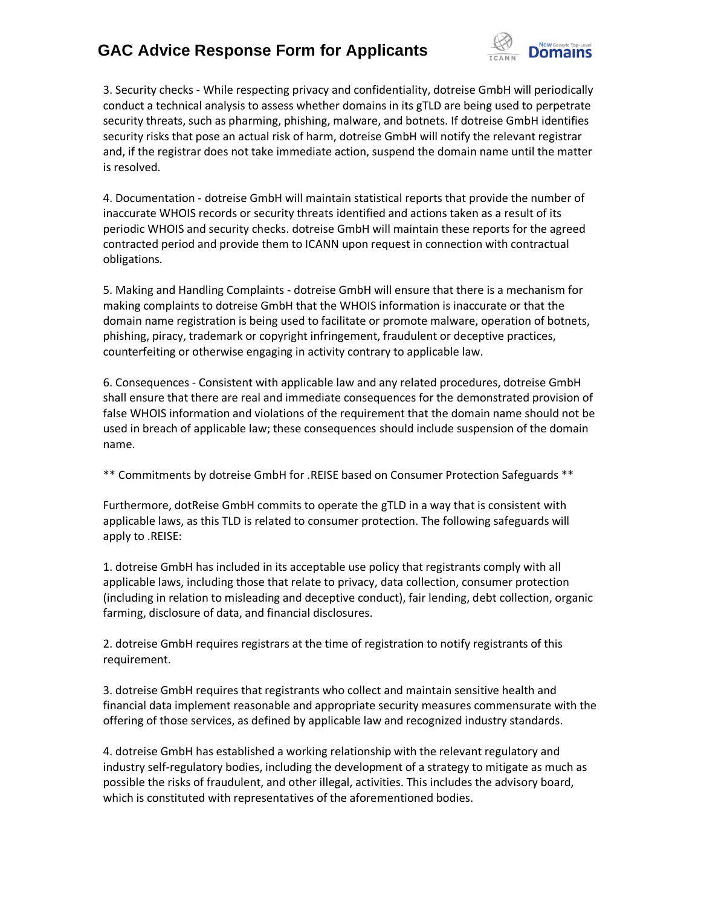# **GAC Advice Response Form for Applicants**



3. Security checks - While respecting privacy and confidentiality, dotreise GmbH will periodically conduct a technical analysis to assess whether domains in its gTLD are being used to perpetrate security threats, such as pharming, phishing, malware, and botnets. If dotreise GmbH identifies security risks that pose an actual risk of harm, dotreise GmbH will notify the relevant registrar and, if the registrar does not take immediate action, suspend the domain name until the matter is resolved.

4. Documentation - dotreise GmbH will maintain statistical reports that provide the number of inaccurate WHOIS records or security threats identified and actions taken as a result of its periodic WHOIS and security checks. dotreise GmbH will maintain these reports for the agreed contracted period and provide them to ICANN upon request in connection with contractual obligations.

5. Making and Handling Complaints - dotreise GmbH will ensure that there is a mechanism for making complaints to dotreise GmbH that the WHOIS information is inaccurate or that the domain name registration is being used to facilitate or promote malware, operation of botnets, phishing, piracy, trademark or copyright infringement, fraudulent or deceptive practices, counterfeiting or otherwise engaging in activity contrary to applicable law.

6. Consequences - Consistent with applicable law and any related procedures, dotreise GmbH shall ensure that there are real and immediate consequences for the demonstrated provision of false WHOIS information and violations of the requirement that the domain name should not be used in breach of applicable law; these consequences should include suspension of the domain name.

\*\* Commitments by dotreise GmbH for .REISE based on Consumer Protection Safeguards \*\*

Furthermore, dotReise GmbH commits to operate the gTLD in a way that is consistent with applicable laws, as this TLD is related to consumer protection. The following safeguards will apply to .REISE:

1. dotreise GmbH has included in its acceptable use policy that registrants comply with all applicable laws, including those that relate to privacy, data collection, consumer protection (including in relation to misleading and deceptive conduct), fair lending, debt collection, organic farming, disclosure of data, and financial disclosures.

2. dotreise GmbH requires registrars at the time of registration to notify registrants of this requirement.

3. dotreise GmbH requires that registrants who collect and maintain sensitive health and financial data implement reasonable and appropriate security measures commensurate with the offering of those services, as defined by applicable law and recognized industry standards.

4. dotreise GmbH has established a working relationship with the relevant regulatory and industry self‐regulatory bodies, including the development of a strategy to mitigate as much as possible the risks of fraudulent, and other illegal, activities. This includes the advisory board, which is constituted with representatives of the aforementioned bodies.